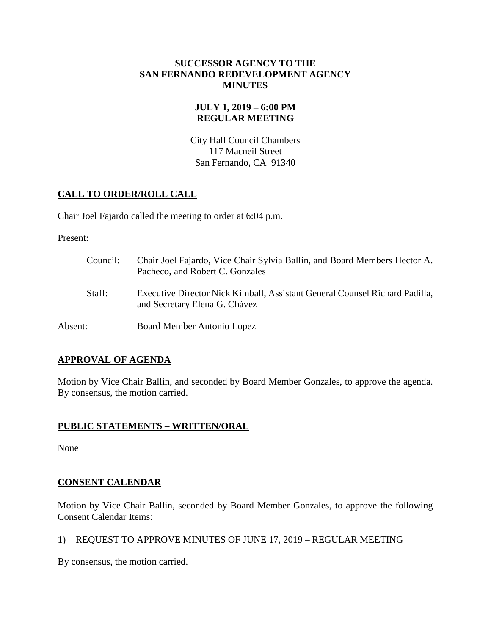### **SUCCESSOR AGENCY TO THE SAN FERNANDO REDEVELOPMENT AGENCY MINUTES**

## **JULY 1, 2019 – 6:00 PM REGULAR MEETING**

City Hall Council Chambers 117 Macneil Street San Fernando, CA 91340

## **CALL TO ORDER/ROLL CALL**

Chair Joel Fajardo called the meeting to order at 6:04 p.m.

Present:

| Council: | Chair Joel Fajardo, Vice Chair Sylvia Ballin, and Board Members Hector A.<br>Pacheco, and Robert C. Gonzales |
|----------|--------------------------------------------------------------------------------------------------------------|
| Staff:   | Executive Director Nick Kimball, Assistant General Counsel Richard Padilla,<br>and Secretary Elena G. Chávez |
| Absent:  | Board Member Antonio Lopez                                                                                   |

# **APPROVAL OF AGENDA**

Motion by Vice Chair Ballin, and seconded by Board Member Gonzales, to approve the agenda. By consensus, the motion carried.

## **PUBLIC STATEMENTS – WRITTEN/ORAL**

None

# **CONSENT CALENDAR**

Motion by Vice Chair Ballin, seconded by Board Member Gonzales, to approve the following Consent Calendar Items:

1) REQUEST TO APPROVE MINUTES OF JUNE 17, 2019 – REGULAR MEETING

By consensus, the motion carried.